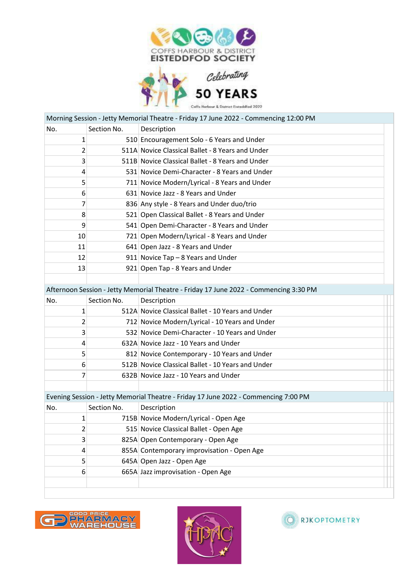

 $\blacklozenge$ 

50 YEARS

|     |             | Morning Session - Jetty Memorial Theatre - Friday 17 June 2022 - Commencing 12:00 PM  |  |
|-----|-------------|---------------------------------------------------------------------------------------|--|
| No. | Section No. | Description                                                                           |  |
| 1   |             | 510 Encouragement Solo - 6 Years and Under                                            |  |
| 2   |             | 511A Novice Classical Ballet - 8 Years and Under                                      |  |
| 3   |             | 511B Novice Classical Ballet - 8 Years and Under                                      |  |
| 4   |             | 531 Novice Demi-Character - 8 Years and Under                                         |  |
| 5   |             | 711 Novice Modern/Lyrical - 8 Years and Under                                         |  |
| 6   |             | 631 Novice Jazz - 8 Years and Under                                                   |  |
| 7   |             | 836 Any style - 8 Years and Under duo/trio                                            |  |
| 8   |             | 521 Open Classical Ballet - 8 Years and Under                                         |  |
| 9   |             | 541 Open Demi-Character - 8 Years and Under                                           |  |
| 10  |             | 721 Open Modern/Lyrical - 8 Years and Under                                           |  |
| 11  |             | 641 Open Jazz - 8 Years and Under                                                     |  |
| 12  |             | 911 Novice Tap - 8 Years and Under                                                    |  |
| 13  |             | 921 Open Tap - 8 Years and Under                                                      |  |
|     |             |                                                                                       |  |
|     |             | Afternoon Session - Jetty Memorial Theatre - Friday 17 June 2022 - Commencing 3:30 PM |  |
| No. | Section No. | Description                                                                           |  |
| 1   |             | 512A Novice Classical Ballet - 10 Years and Under                                     |  |
| 2   |             | 712 Novice Modern/Lyrical - 10 Years and Under                                        |  |
| 3   |             | 532 Novice Demi-Character - 10 Years and Under                                        |  |
| 4   |             | 632A Novice Jazz - 10 Years and Under                                                 |  |
| 5   |             | 812 Novice Contemporary - 10 Years and Under                                          |  |
| 6   |             | 512B Novice Classical Ballet - 10 Years and Under                                     |  |
| 7   |             | 632B Novice Jazz - 10 Years and Under                                                 |  |
|     |             |                                                                                       |  |
|     |             | Evening Session - Jetty Memorial Theatre - Friday 17 June 2022 - Commencing 7:00 PM   |  |
| No. | Section No. | Description                                                                           |  |
| 1   |             | 715B Novice Modern/Lyrical - Open Age                                                 |  |
| 2   |             | 515 Novice Classical Ballet - Open Age                                                |  |
| 3   |             | 825A Open Contemporary - Open Age                                                     |  |
| 4   |             | 855A Contemporary improvisation - Open Age                                            |  |
| 5   |             | 645A Open Jazz - Open Age                                                             |  |
| 6   |             | 665A Jazz improvisation - Open Age                                                    |  |
|     |             |                                                                                       |  |
|     |             |                                                                                       |  |





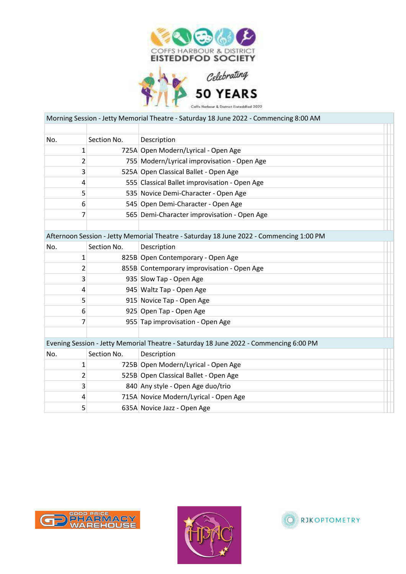

 $\blacklozenge$ 

50 YEARS

|             |             | Morning Session - Jetty Memorial Theatre - Saturday 18 June 2022 - Commencing 8:00 AM   |  |
|-------------|-------------|-----------------------------------------------------------------------------------------|--|
|             |             |                                                                                         |  |
| No.         | Section No. | Description                                                                             |  |
| $\mathbf 1$ |             | 725A Open Modern/Lyrical - Open Age                                                     |  |
| 2           |             | 755 Modern/Lyrical improvisation - Open Age                                             |  |
| 3           |             | 525A Open Classical Ballet - Open Age                                                   |  |
| 4           |             | 555 Classical Ballet improvisation - Open Age                                           |  |
| 5           |             | 535 Novice Demi-Character - Open Age                                                    |  |
| 6           |             | 545 Open Demi-Character - Open Age                                                      |  |
| 7           |             | 565 Demi-Character improvisation - Open Age                                             |  |
|             |             |                                                                                         |  |
|             |             | Afternoon Session - Jetty Memorial Theatre - Saturday 18 June 2022 - Commencing 1:00 PM |  |
| No.         | Section No. | Description                                                                             |  |
| 1           |             | 825B Open Contemporary - Open Age                                                       |  |
| 2           |             | 855B Contemporary improvisation - Open Age                                              |  |
| 3           |             | 935 Slow Tap - Open Age                                                                 |  |
| 4           |             | 945 Waltz Tap - Open Age                                                                |  |
| 5           |             | 915 Novice Tap - Open Age                                                               |  |
| 6           |             | 925 Open Tap - Open Age                                                                 |  |
| 7           |             | 955 Tap improvisation - Open Age                                                        |  |
|             |             |                                                                                         |  |
|             |             | Evening Session - Jetty Memorial Theatre - Saturday 18 June 2022 - Commencing 6:00 PM   |  |
| No.         | Section No. | Description                                                                             |  |
| 1           |             | 725B Open Modern/Lyrical - Open Age                                                     |  |
| 2           |             | 525B Open Classical Ballet - Open Age                                                   |  |
| 3           |             | 840 Any style - Open Age duo/trio                                                       |  |
| 4           |             | 715A Novice Modern/Lyrical - Open Age                                                   |  |
| 5           |             | 635A Novice Jazz - Open Age                                                             |  |
|             |             |                                                                                         |  |





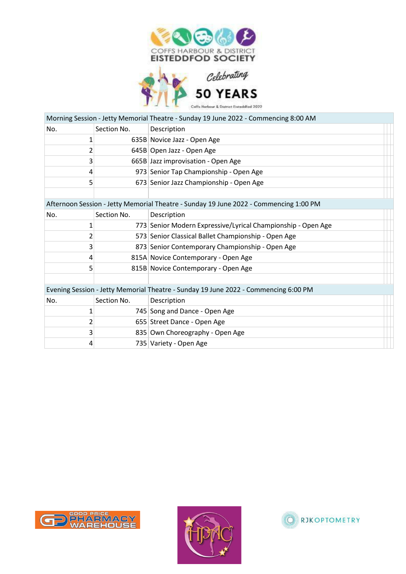

|     |             | <b>50 YEARS</b>                                                                       |
|-----|-------------|---------------------------------------------------------------------------------------|
|     |             | offs Harbour & District Eisteddfod 2022                                               |
|     |             | Morning Session - Jetty Memorial Theatre - Sunday 19 June 2022 - Commencing 8:00 AM   |
| No. | Section No. | Description                                                                           |
| 1   |             | 635B Novice Jazz - Open Age                                                           |
| 2   |             | 645B Open Jazz - Open Age                                                             |
| 3   |             | 665B Jazz improvisation - Open Age                                                    |
| 4   |             | 973 Senior Tap Championship - Open Age                                                |
| 5   |             | 673 Senior Jazz Championship - Open Age                                               |
|     |             |                                                                                       |
|     |             | Afternoon Session - Jetty Memorial Theatre - Sunday 19 June 2022 - Commencing 1:00 PM |
| No. | Section No. | Description                                                                           |
| 1   |             | 773 Senior Modern Expressive/Lyrical Championship - Open Age                          |
| 2   |             | 573 Senior Classical Ballet Championship - Open Age                                   |
| 3   |             | 873 Senior Contemporary Championship - Open Age                                       |
| 4   |             | 815A Novice Contemporary - Open Age                                                   |
| 5   |             | 815B Novice Contemporary - Open Age                                                   |
|     |             |                                                                                       |
|     |             | Evening Session - Jetty Memorial Theatre - Sunday 19 June 2022 - Commencing 6:00 PM   |
| No. | Section No. | Description                                                                           |
| 1   |             | 745 Song and Dance - Open Age                                                         |
| 2   |             | 655 Street Dance - Open Age                                                           |
| 3   |             | 835 Own Choreography - Open Age                                                       |

735 Variety - Open Age

D PHARMACY G



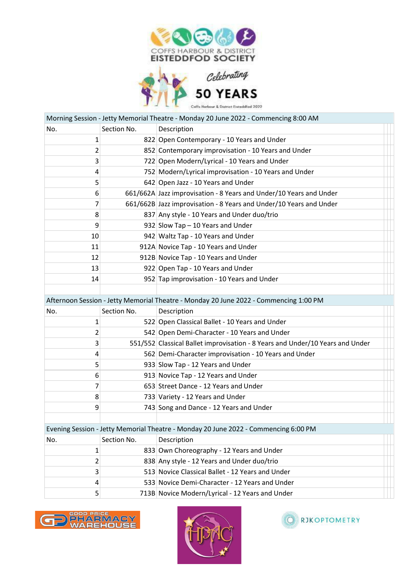



|             |             | Morning Session - Jetty Memorial Theatre - Monday 20 June 2022 - Commencing 8:00 AM   |  |
|-------------|-------------|---------------------------------------------------------------------------------------|--|
| No.         | Section No. | Description                                                                           |  |
| $\mathbf 1$ |             | 822 Open Contemporary - 10 Years and Under                                            |  |
| 2           |             | 852 Contemporary improvisation - 10 Years and Under                                   |  |
| 3           |             | 722 Open Modern/Lyrical - 10 Years and Under                                          |  |
| 4           |             | 752 Modern/Lyrical improvisation - 10 Years and Under                                 |  |
| 5           |             | 642 Open Jazz - 10 Years and Under                                                    |  |
| 6           |             | 661/662A Jazz improvisation - 8 Years and Under/10 Years and Under                    |  |
| 7           |             | 661/662B Jazz improvisation - 8 Years and Under/10 Years and Under                    |  |
| 8           |             | 837 Any style - 10 Years and Under duo/trio                                           |  |
| 9           |             | 932 Slow Tap - 10 Years and Under                                                     |  |
| 10          |             | 942 Waltz Tap - 10 Years and Under                                                    |  |
| 11          |             | 912A Novice Tap - 10 Years and Under                                                  |  |
| 12          |             | 912B Novice Tap - 10 Years and Under                                                  |  |
| 13          |             | 922 Open Tap - 10 Years and Under                                                     |  |
| 14          |             | 952 Tap improvisation - 10 Years and Under                                            |  |
|             |             |                                                                                       |  |
|             |             | Afternoon Session - Jetty Memorial Theatre - Monday 20 June 2022 - Commencing 1:00 PM |  |
| No.         | Section No. | Description                                                                           |  |
| 1           |             | 522 Open Classical Ballet - 10 Years and Under                                        |  |
| 2           |             | 542 Open Demi-Character - 10 Years and Under                                          |  |
| 3           |             | 551/552 Classical Ballet improvisation - 8 Years and Under/10 Years and Under         |  |
| 4           |             | 562 Demi-Character improvisation - 10 Years and Under                                 |  |
| 5           |             | 933 Slow Tap - 12 Years and Under                                                     |  |
| 6           |             | 913 Novice Tap - 12 Years and Under                                                   |  |
| 7           |             | 653 Street Dance - 12 Years and Under                                                 |  |
| 8           |             | 733 Variety - 12 Years and Under                                                      |  |
| 9           |             | 743 Song and Dance - 12 Years and Under                                               |  |
|             |             |                                                                                       |  |
|             |             | Evening Session - Jetty Memorial Theatre - Monday 20 June 2022 - Commencing 6:00 PM   |  |
| No.         | Section No. | Description                                                                           |  |
| 1           |             | 833 Own Choreography - 12 Years and Under                                             |  |
| 2           |             | 838 Any style - 12 Years and Under duo/trio                                           |  |
| 3           |             | 513 Novice Classical Ballet - 12 Years and Under                                      |  |
| 4           |             | 533 Novice Demi-Character - 12 Years and Under                                        |  |
| 5           |             | 713B Novice Modern/Lyrical - 12 Years and Under                                       |  |





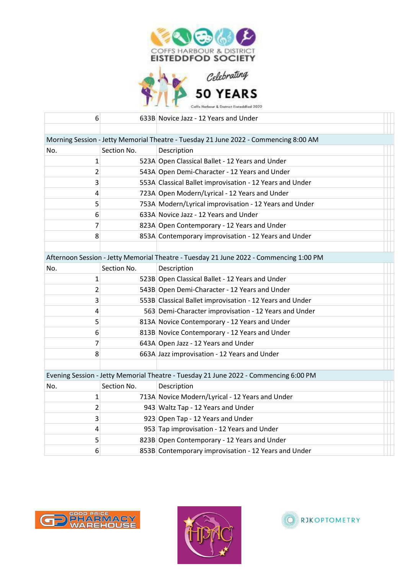

 $\blacklozenge$ 



| 6                                                                                    |             | 633B Novice Jazz - 12 Years and Under                                                  |  |  |
|--------------------------------------------------------------------------------------|-------------|----------------------------------------------------------------------------------------|--|--|
|                                                                                      |             |                                                                                        |  |  |
| Morning Session - Jetty Memorial Theatre - Tuesday 21 June 2022 - Commencing 8:00 AM |             |                                                                                        |  |  |
| No.                                                                                  | Section No. | Description                                                                            |  |  |
| 1                                                                                    |             | 523A Open Classical Ballet - 12 Years and Under                                        |  |  |
| $\overline{2}$                                                                       |             | 543A Open Demi-Character - 12 Years and Under                                          |  |  |
| 3                                                                                    |             | 553A Classical Ballet improvisation - 12 Years and Under                               |  |  |
| 4                                                                                    |             | 723A Open Modern/Lyrical - 12 Years and Under                                          |  |  |
| 5                                                                                    |             | 753A Modern/Lyrical improvisation - 12 Years and Under                                 |  |  |
| 6                                                                                    |             | 633A Novice Jazz - 12 Years and Under                                                  |  |  |
| 7                                                                                    |             | 823A Open Contemporary - 12 Years and Under                                            |  |  |
| 8                                                                                    |             | 853A Contemporary improvisation - 12 Years and Under                                   |  |  |
|                                                                                      |             |                                                                                        |  |  |
|                                                                                      |             | Afternoon Session - Jetty Memorial Theatre - Tuesday 21 June 2022 - Commencing 1:00 PM |  |  |
| No.                                                                                  | Section No. | Description                                                                            |  |  |
| $\mathbf 1$                                                                          |             | 523B Open Classical Ballet - 12 Years and Under                                        |  |  |
| 2                                                                                    |             | 543B Open Demi-Character - 12 Years and Under                                          |  |  |
| 3                                                                                    |             | 553B Classical Ballet improvisation - 12 Years and Under                               |  |  |
| 4                                                                                    |             | 563 Demi-Character improvisation - 12 Years and Under                                  |  |  |
| 5                                                                                    |             | 813A Novice Contemporary - 12 Years and Under                                          |  |  |
| 6                                                                                    |             | 813B Novice Contemporary - 12 Years and Under                                          |  |  |
| 7                                                                                    |             | 643A Open Jazz - 12 Years and Under                                                    |  |  |
| 8                                                                                    |             | 663A Jazz improvisation - 12 Years and Under                                           |  |  |
|                                                                                      |             |                                                                                        |  |  |
|                                                                                      |             | Evening Session - Jetty Memorial Theatre - Tuesday 21 June 2022 - Commencing 6:00 PM   |  |  |
| No.                                                                                  | Section No. | Description                                                                            |  |  |
| $\mathbf{1}$                                                                         |             | 713A Novice Modern/Lyrical - 12 Years and Under                                        |  |  |
| 2                                                                                    |             | 943 Waltz Tap - 12 Years and Under                                                     |  |  |
| 3                                                                                    |             | 923 Open Tap - 12 Years and Under                                                      |  |  |
| 4                                                                                    |             | 953 Tap improvisation - 12 Years and Under                                             |  |  |
| 5                                                                                    |             | 823B Open Contemporary - 12 Years and Under                                            |  |  |
| 6                                                                                    |             | 853B Contemporary improvisation - 12 Years and Under                                   |  |  |





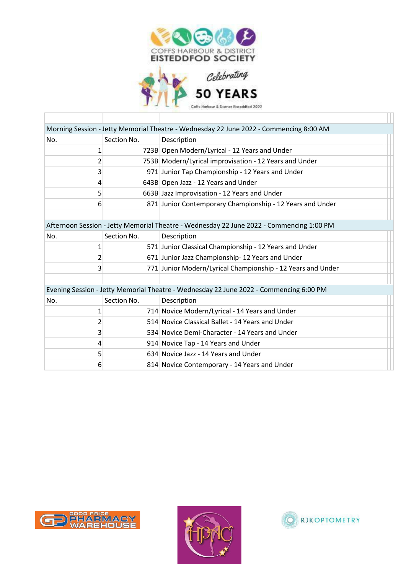

Coffs Harbour & District Enteddfod 2022

|     |             | Morning Session - Jetty Memorial Theatre - Wednesday 22 June 2022 - Commencing 8:00 AM   |  |
|-----|-------------|------------------------------------------------------------------------------------------|--|
| No. | Section No. | Description                                                                              |  |
| 1   |             | 723B Open Modern/Lyrical - 12 Years and Under                                            |  |
| 2   |             | 753B Modern/Lyrical improvisation - 12 Years and Under                                   |  |
| 3   |             | 971 Junior Tap Championship - 12 Years and Under                                         |  |
| 4   |             | 643B Open Jazz - 12 Years and Under                                                      |  |
| 5   |             | 663B Jazz Improvisation - 12 Years and Under                                             |  |
| 6   |             | 871 Junior Contemporary Championship - 12 Years and Under                                |  |
|     |             |                                                                                          |  |
|     |             | Afternoon Session - Jetty Memorial Theatre - Wednesday 22 June 2022 - Commencing 1:00 PM |  |
| No. | Section No. | Description                                                                              |  |
| 1   |             | 571 Junior Classical Championship - 12 Years and Under                                   |  |
| 2   |             | 671 Junior Jazz Championship-12 Years and Under                                          |  |
| 3   |             | 771 Junior Modern/Lyrical Championship - 12 Years and Under                              |  |
|     |             |                                                                                          |  |
|     |             | Evening Session - Jetty Memorial Theatre - Wednesday 22 June 2022 - Commencing 6:00 PM   |  |
| No. | Section No. | Description                                                                              |  |
| 1   |             | 714 Novice Modern/Lyrical - 14 Years and Under                                           |  |
| 2   |             | 514 Novice Classical Ballet - 14 Years and Under                                         |  |
| 3   |             | 534 Novice Demi-Character - 14 Years and Under                                           |  |
| 4   |             | 914 Novice Tap - 14 Years and Under                                                      |  |
| 5   |             | 634 Novice Jazz - 14 Years and Under                                                     |  |
| 6   |             | 814 Novice Contemporary - 14 Years and Under                                             |  |



Т



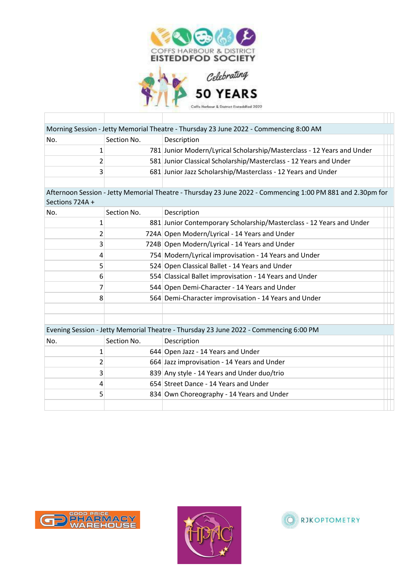

| 50 YEARS                                 |
|------------------------------------------|
| Colls Harbour & District Eisteddfod 2022 |

Coffs Harbour & District Enteddfod 2022

|                 |                | Morning Session - Jetty Memorial Theatre - Thursday 23 June 2022 - Commencing 8:00 AM                      |  |
|-----------------|----------------|------------------------------------------------------------------------------------------------------------|--|
| No.             | Section No.    | Description                                                                                                |  |
|                 | 1              | 781 Junior Modern/Lyrical Scholarship/Masterclass - 12 Years and Under                                     |  |
|                 | $\overline{2}$ | 581 Junior Classical Scholarship/Masterclass - 12 Years and Under                                          |  |
|                 | 3              | 681 Junior Jazz Scholarship/Masterclass - 12 Years and Under                                               |  |
|                 |                |                                                                                                            |  |
| Sections 724A + |                | Afternoon Session - Jetty Memorial Theatre - Thursday 23 June 2022 - Commencing 1:00 PM 881 and 2.30pm for |  |
| No.             | Section No.    | Description                                                                                                |  |
|                 | $\mathbf{1}$   | 881 Junior Contemporary Scholarship/Masterclass - 12 Years and Under                                       |  |
|                 | $\overline{2}$ | 724A Open Modern/Lyrical - 14 Years and Under                                                              |  |
|                 | 3              | 724B Open Modern/Lyrical - 14 Years and Under                                                              |  |
|                 | 4              | 754 Modern/Lyrical improvisation - 14 Years and Under                                                      |  |
|                 | 5              | 524 Open Classical Ballet - 14 Years and Under                                                             |  |
|                 | 6              | 554 Classical Ballet improvisation - 14 Years and Under                                                    |  |
|                 | 7              | 544 Open Demi-Character - 14 Years and Under                                                               |  |
|                 | 8              | 564 Demi-Character improvisation - 14 Years and Under                                                      |  |
|                 |                |                                                                                                            |  |
|                 |                |                                                                                                            |  |
|                 |                | Evening Session - Jetty Memorial Theatre - Thursday 23 June 2022 - Commencing 6:00 PM                      |  |
| No.             | Section No.    | Description                                                                                                |  |
|                 | $\mathbf{1}$   | 644 Open Jazz - 14 Years and Under                                                                         |  |
|                 | $\overline{2}$ | 664 Jazz improvisation - 14 Years and Under                                                                |  |
|                 | 3              | 839 Any style - 14 Years and Under duo/trio                                                                |  |
|                 | 4              | 654 Street Dance - 14 Years and Under                                                                      |  |
|                 | 5              | 834 Own Choreography - 14 Years and Under                                                                  |  |
|                 |                |                                                                                                            |  |



Т



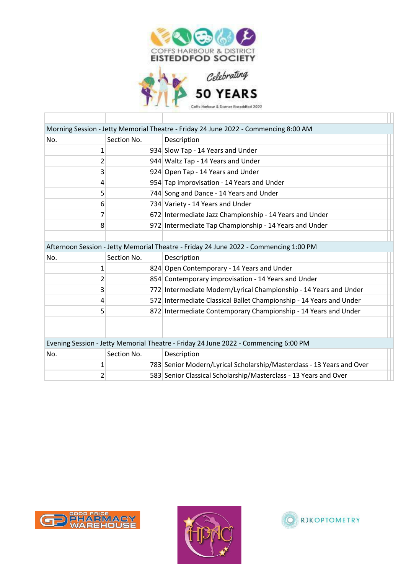

Coffs Harbour & District Enteddfod 2022

|     |             | Morning Session - Jetty Memorial Theatre - Friday 24 June 2022 - Commencing 8:00 AM   |  |
|-----|-------------|---------------------------------------------------------------------------------------|--|
| No. | Section No. | Description                                                                           |  |
| 1   |             | 934 Slow Tap - 14 Years and Under                                                     |  |
| 2   |             | 944 Waltz Tap - 14 Years and Under                                                    |  |
| 3   |             | 924 Open Tap - 14 Years and Under                                                     |  |
| 4   |             | 954 Tap improvisation - 14 Years and Under                                            |  |
| 5   |             | 744 Song and Dance - 14 Years and Under                                               |  |
| 6   |             | 734 Variety - 14 Years and Under                                                      |  |
| 7   |             | 672 Intermediate Jazz Championship - 14 Years and Under                               |  |
| 8   |             | 972 Intermediate Tap Championship - 14 Years and Under                                |  |
|     |             |                                                                                       |  |
|     |             | Afternoon Session - Jetty Memorial Theatre - Friday 24 June 2022 - Commencing 1:00 PM |  |
| No. | Section No. | Description                                                                           |  |
| 1   |             | 824 Open Contemporary - 14 Years and Under                                            |  |
| 2   |             | 854 Contemporary improvisation - 14 Years and Under                                   |  |
| 3   |             | 772 Intermediate Modern/Lyrical Championship - 14 Years and Under                     |  |
| 4   |             | 572 Intermediate Classical Ballet Championship - 14 Years and Under                   |  |
| 5   |             | 872 Intermediate Contemporary Championship - 14 Years and Under                       |  |
|     |             |                                                                                       |  |
|     |             |                                                                                       |  |
|     |             | Evening Session - Jetty Memorial Theatre - Friday 24 June 2022 - Commencing 6:00 PM   |  |
| No. | Section No. | Description                                                                           |  |
| 1   |             | 783 Senior Modern/Lyrical Scholarship/Masterclass - 13 Years and Over                 |  |
| 2   |             | 583 Senior Classical Scholarship/Masterclass - 13 Years and Over                      |  |



Т